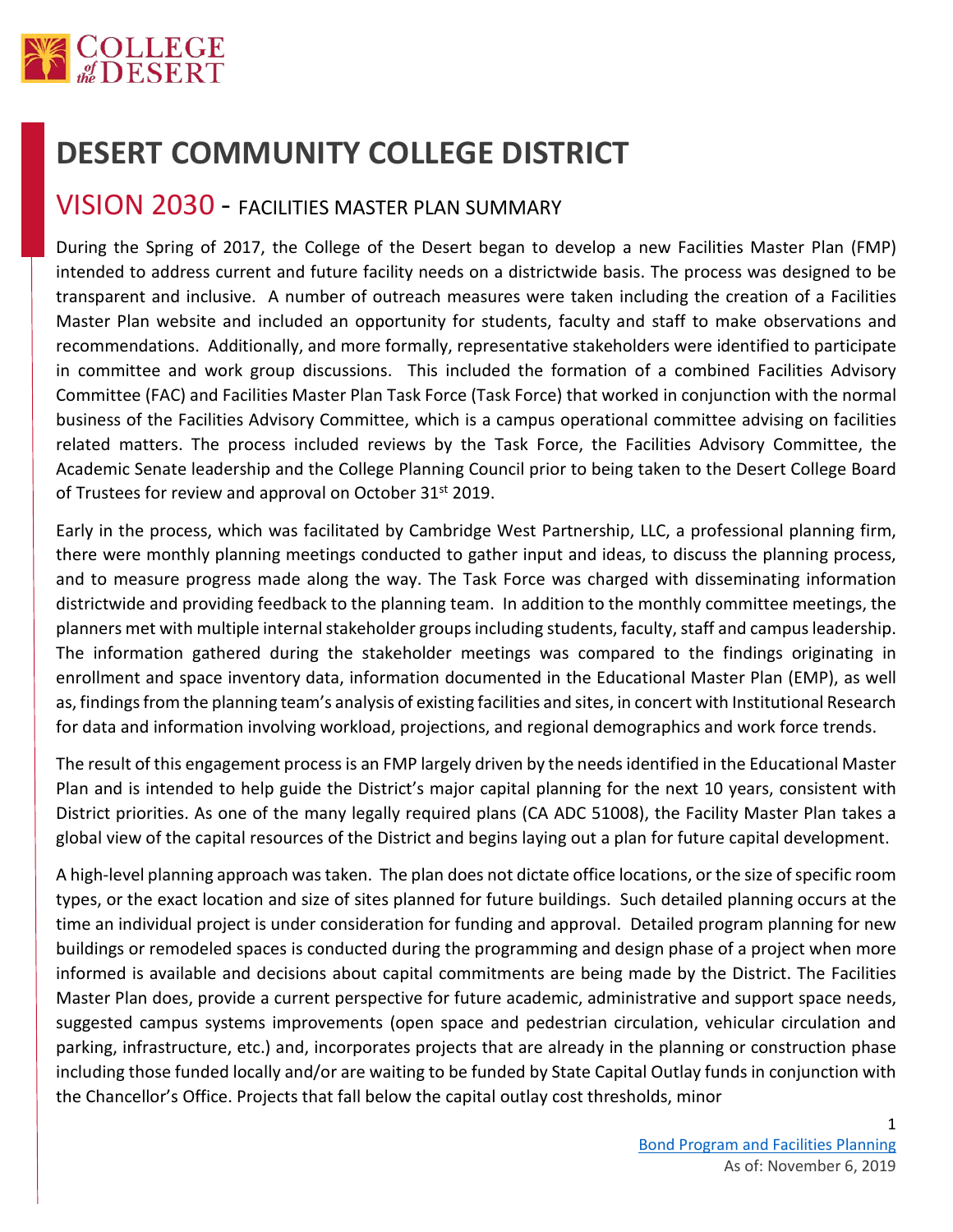

## **DESERT COMMUNITY COLLEGE DISTRICT**

## VISION 2030 - FACILITIES MASTER PLAN SUMMARY

During the Spring of 2017, the College of the Desert began to develop a new Facilities Master Plan (FMP) intended to address current and future facility needs on a districtwide basis. The process was designed to be transparent and inclusive. A number of outreach measures were taken including the creation of a Facilities Master Plan website and included an opportunity for students, faculty and staff to make observations and recommendations. Additionally, and more formally, representative stakeholders were identified to participate in committee and work group discussions. This included the formation of a combined Facilities Advisory Committee (FAC) and Facilities Master Plan Task Force (Task Force) that worked in conjunction with the normal business of the Facilities Advisory Committee, which is a campus operational committee advising on facilities related matters. The process included reviews by the Task Force, the Facilities Advisory Committee, the Academic Senate leadership and the College Planning Council prior to being taken to the Desert College Board of Trustees for review and approval on October 31<sup>st</sup> 2019.

Early in the process, which was facilitated by Cambridge West Partnership, LLC, a professional planning firm, there were monthly planning meetings conducted to gather input and ideas, to discuss the planning process, and to measure progress made along the way. The Task Force was charged with disseminating information districtwide and providing feedback to the planning team. In addition to the monthly committee meetings, the planners met with multiple internal stakeholder groups including students, faculty, staff and campus leadership. The information gathered during the stakeholder meetings was compared to the findings originating in enrollment and space inventory data, information documented in the Educational Master Plan (EMP), as well as, findings from the planning team's analysis of existing facilities and sites, in concert with Institutional Research for data and information involving workload, projections, and regional demographics and work force trends.

The result of this engagement process is an FMP largely driven by the needs identified in the Educational Master Plan and is intended to help guide the District's major capital planning for the next 10 years, consistent with District priorities. As one of the many legally required plans (CA ADC 51008), the Facility Master Plan takes a global view of the capital resources of the District and begins laying out a plan for future capital development.

A high-level planning approach was taken. The plan does not dictate office locations, or the size of specific room types, or the exact location and size of sites planned for future buildings. Such detailed planning occurs at the time an individual project is under consideration for funding and approval. Detailed program planning for new buildings or remodeled spaces is conducted during the programming and design phase of a project when more informed is available and decisions about capital commitments are being made by the District. The Facilities Master Plan does, provide a current perspective for future academic, administrative and support space needs, suggested campus systems improvements (open space and pedestrian circulation, vehicular circulation and parking, infrastructure, etc.) and, incorporates projects that are already in the planning or construction phase including those funded locally and/or are waiting to be funded by State Capital Outlay funds in conjunction with the Chancellor's Office. Projects that fall below the capital outlay cost thresholds, minor

1